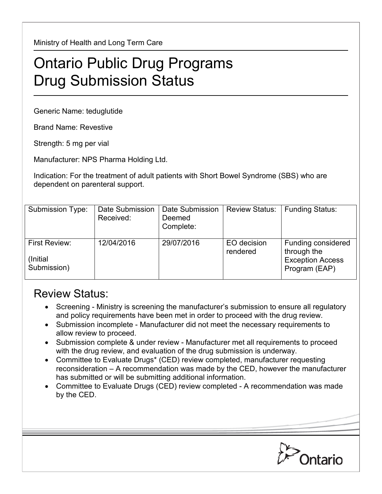Ministry of Health and Long Term Care

## Ontario Public Drug Programs Drug Submission Status

Generic Name: teduglutide

Brand Name: Revestive

Strength: 5 mg per vial

Manufacturer: NPS Pharma Holding Ltd.

Indication: For the treatment of adult patients with Short Bowel Syndrome (SBS) who are dependent on parenteral support.

| Submission Type:                                 | Date Submission<br>Received: | Date Submission<br>Deemed<br>Complete: | <b>Review Status:</b>   | <b>Funding Status:</b>                                                        |
|--------------------------------------------------|------------------------------|----------------------------------------|-------------------------|-------------------------------------------------------------------------------|
| <b>First Review:</b><br>(Initial)<br>Submission) | 12/04/2016                   | 29/07/2016                             | EO decision<br>rendered | Funding considered<br>through the<br><b>Exception Access</b><br>Program (EAP) |

## Review Status:

- Screening Ministry is screening the manufacturer's submission to ensure all regulatory and policy requirements have been met in order to proceed with the drug review.
- Submission incomplete Manufacturer did not meet the necessary requirements to allow review to proceed.
- Submission complete & under review Manufacturer met all requirements to proceed with the drug review, and evaluation of the drug submission is underway.
- Committee to Evaluate Drugs\* (CED) review completed, manufacturer requesting reconsideration – A recommendation was made by the CED, however the manufacturer has submitted or will be submitting additional information.
- Committee to Evaluate Drugs (CED) review completed A recommendation was made by the CED.